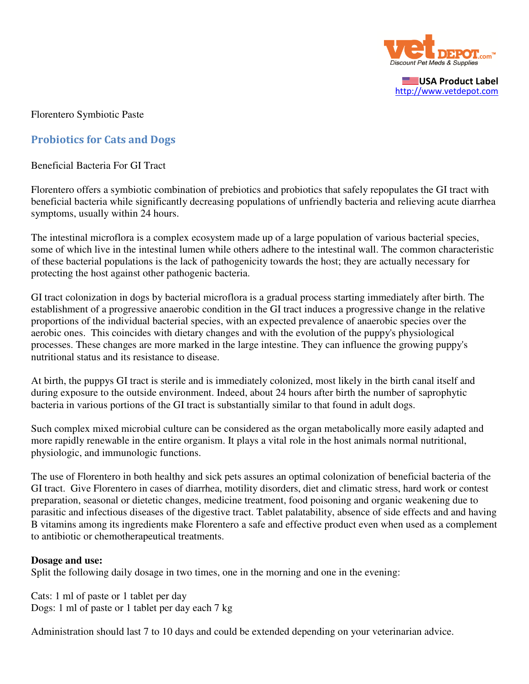

USA Product Label http://www.vetdepot.com

Florentero Symbiotic Paste

## Probiotics for Cats and Dogs

Beneficial Bacteria For GI Tract

Florentero offers a symbiotic combination of prebiotics and probiotics that safely repopulates the GI tract with beneficial bacteria while significantly decreasing populations of unfriendly bacteria and relieving acute diarrhea symptoms, usually within 24 hours.

The intestinal microflora is a complex ecosystem made up of a large population of various bacterial species, some of which live in the intestinal lumen while others adhere to the intestinal wall. The common characteristic of these bacterial populations is the lack of pathogenicity towards the host; they are actually necessary for protecting the host against other pathogenic bacteria.

GI tract colonization in dogs by bacterial microflora is a gradual process starting immediately after birth. The establishment of a progressive anaerobic condition in the GI tract induces a progressive change in the relative proportions of the individual bacterial species, with an expected prevalence of anaerobic species over the aerobic ones. This coincides with dietary changes and with the evolution of the puppy's physiological processes. These changes are more marked in the large intestine. They can influence the growing puppy's nutritional status and its resistance to disease.

At birth, the puppys GI tract is sterile and is immediately colonized, most likely in the birth canal itself and during exposure to the outside environment. Indeed, about 24 hours after birth the number of saprophytic bacteria in various portions of the GI tract is substantially similar to that found in adult dogs.

Such complex mixed microbial culture can be considered as the organ metabolically more easily adapted and more rapidly renewable in the entire organism. It plays a vital role in the host animals normal nutritional, physiologic, and immunologic functions.

The use of Florentero in both healthy and sick pets assures an optimal colonization of beneficial bacteria of the GI tract. Give Florentero in cases of diarrhea, motility disorders, diet and climatic stress, hard work or contest preparation, seasonal or dietetic changes, medicine treatment, food poisoning and organic weakening due to parasitic and infectious diseases of the digestive tract. Tablet palatability, absence of side effects and and having B vitamins among its ingredients make Florentero a safe and effective product even when used as a complement to antibiotic or chemotherapeutical treatments.

## **Dosage and use:**

Split the following daily dosage in two times, one in the morning and one in the evening:

Cats: 1 ml of paste or 1 tablet per day Dogs: 1 ml of paste or 1 tablet per day each 7 kg

Administration should last 7 to 10 days and could be extended depending on your veterinarian advice.